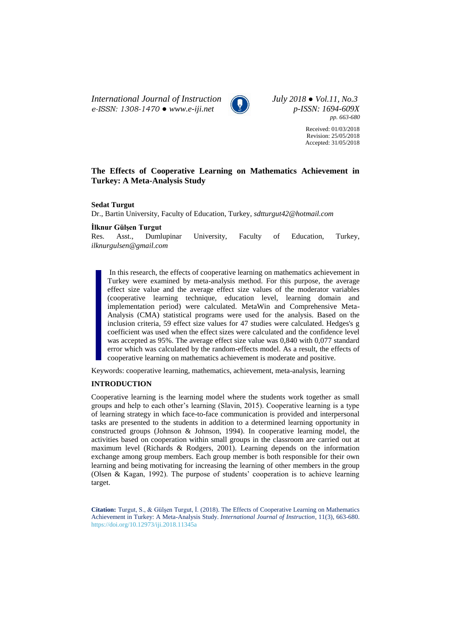*International Journal of Instruction July 2018 ● Vol.11, No.3 e-ISSN: 1308-1470 ● [www.e-iji.net](http://www.e-iji.net/) p-ISSN: 1694-609X*



*pp. 663-680*

Received: 01/03/2018 Revision: 25/05/2018 Accepted: 31/05/2018

# **The Effects of Cooperative Learning on Mathematics Achievement in Turkey: A Meta-Analysis Study**

**Sedat Turgut**

Dr., Bartin University, Faculty of Education, Turkey, *sdtturgut42@hotmail.com*

**İlknur Gülşen Turgut**

Res. Asst., Dumlupinar University, Faculty of Education, Turkey, *ilknurgulsen@gmail.com*

In this research, the effects of cooperative learning on mathematics achievement in Turkey were examined by meta-analysis method. For this purpose, the average effect size value and the average effect size values of the moderator variables (cooperative learning technique, education level, learning domain and implementation period) were calculated. MetaWin and Comprehensive Meta-Analysis (CMA) statistical programs were used for the analysis. Based on the inclusion criteria, 59 effect size values for 47 studies were calculated. Hedges's g coefficient was used when the effect sizes were calculated and the confidence level was accepted as 95%. The average effect size value was 0,840 with 0,077 standard error which was calculated by the random-effects model. As a result, the effects of cooperative learning on mathematics achievement is moderate and positive.

Keywords: cooperative learning, mathematics, achievement, meta-analysis, learning

## **INTRODUCTION**

Cooperative learning is the learning model where the students work together as small groups and help to each other's learning (Slavin, 2015). Cooperative learning is a type of learning strategy in which face-to-face communication is provided and interpersonal tasks are presented to the students in addition to a determined learning opportunity in constructed groups (Johnson & Johnson, 1994). In cooperative learning model, the activities based on cooperation within small groups in the classroom are carried out at maximum level (Richards & Rodgers, 2001). Learning depends on the information exchange among group members. Each group member is both responsible for their own learning and being motivating for increasing the learning of other members in the group (Olsen & Kagan, 1992). The purpose of students' cooperation is to achieve learning target.

**Citation:** Turgut, S., & Gülşen Turgut, İ. (2018). The Effects of Cooperative Learning on Mathematics Achievement in Turkey: A Meta-Analysis Study. *International Journal of Instruction*, 11(3), 663-680. <https://doi.org/10.12973/iji.2018.11345a>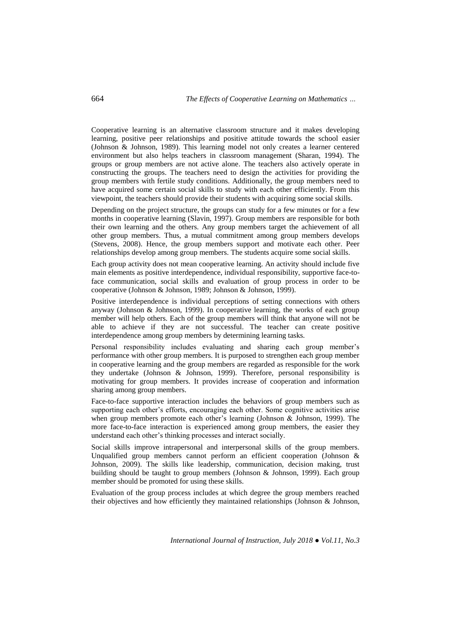Cooperative learning is an alternative classroom structure and it makes developing learning, positive peer relationships and positive attitude towards the school easier (Johnson & Johnson, 1989). This learning model not only creates a learner centered environment but also helps teachers in classroom management (Sharan, 1994). The groups or group members are not active alone. The teachers also actively operate in constructing the groups. The teachers need to design the activities for providing the group members with fertile study conditions. Additionally, the group members need to have acquired some certain social skills to study with each other efficiently. From this viewpoint, the teachers should provide their students with acquiring some social skills.

Depending on the project structure, the groups can study for a few minutes or for a few months in cooperative learning (Slavin, 1997). Group members are responsible for both their own learning and the others. Any group members target the achievement of all other group members. Thus, a mutual commitment among group members develops (Stevens, 2008). Hence, the group members support and motivate each other. Peer relationships develop among group members. The students acquire some social skills.

Each group activity does not mean cooperative learning. An activity should include five main elements as positive interdependence, individual responsibility, supportive face-toface communication, social skills and evaluation of group process in order to be cooperative (Johnson & Johnson, 1989; Johnson & Johnson, 1999).

Positive interdependence is individual perceptions of setting connections with others anyway (Johnson & Johnson, 1999). In cooperative learning, the works of each group member will help others. Each of the group members will think that anyone will not be able to achieve if they are not successful. The teacher can create positive interdependence among group members by determining learning tasks.

Personal responsibility includes evaluating and sharing each group member's performance with other group members. It is purposed to strengthen each group member in cooperative learning and the group members are regarded as responsible for the work they undertake (Johnson & Johnson, 1999). Therefore, personal responsibility is motivating for group members. It provides increase of cooperation and information sharing among group members.

Face-to-face supportive interaction includes the behaviors of group members such as supporting each other's efforts, encouraging each other. Some cognitive activities arise when group members promote each other's learning (Johnson & Johnson, 1999). The more face-to-face interaction is experienced among group members, the easier they understand each other's thinking processes and interact socially.

Social skills improve intrapersonal and interpersonal skills of the group members. Unqualified group members cannot perform an efficient cooperation (Johnson & Johnson, 2009). The skills like leadership, communication, decision making, trust building should be taught to group members (Johnson & Johnson, 1999). Each group member should be promoted for using these skills.

Evaluation of the group process includes at which degree the group members reached their objectives and how efficiently they maintained relationships (Johnson & Johnson,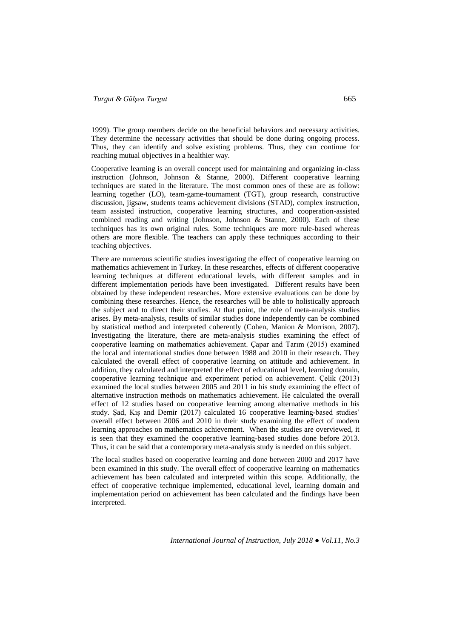1999). The group members decide on the beneficial behaviors and necessary activities. They determine the necessary activities that should be done during ongoing process. Thus, they can identify and solve existing problems. Thus, they can continue for reaching mutual objectives in a healthier way.

Cooperative learning is an overall concept used for maintaining and organizing in-class instruction (Johnson, Johnson & Stanne, 2000). Different cooperative learning techniques are stated in the literature. The most common ones of these are as follow: learning together (LO), team-game-tournament (TGT), group research, constructive discussion, jigsaw, students teams achievement divisions (STAD), complex instruction, team assisted instruction, cooperative learning structures, and cooperation-assisted combined reading and writing (Johnson, Johnson & Stanne, 2000). Each of these techniques has its own original rules. Some techniques are more rule-based whereas others are more flexible. The teachers can apply these techniques according to their teaching objectives.

There are numerous scientific studies investigating the effect of cooperative learning on mathematics achievement in Turkey. In these researches, effects of different cooperative learning techniques at different educational levels, with different samples and in different implementation periods have been investigated. Different results have been obtained by these independent researches. More extensive evaluations can be done by combining these researches. Hence, the researches will be able to holistically approach the subject and to direct their studies. At that point, the role of meta-analysis studies arises. By meta-analysis, results of similar studies done independently can be combined by statistical method and interpreted coherently (Cohen, Manion & Morrison, 2007). Investigating the literature, there are meta-analysis studies examining the effect of cooperative learning on mathematics achievement. Çapar and Tarım (2015) examined the local and international studies done between 1988 and 2010 in their research. They calculated the overall effect of cooperative learning on attitude and achievement. In addition, they calculated and interpreted the effect of educational level, learning domain, cooperative learning technique and experiment period on achievement. Çelik (2013) examined the local studies between 2005 and 2011 in his study examining the effect of alternative instruction methods on mathematics achievement. He calculated the overall effect of 12 studies based on cooperative learning among alternative methods in his study. Şad, Kış and Demir (2017) calculated 16 cooperative learning-based studies' overall effect between 2006 and 2010 in their study examining the effect of modern learning approaches on mathematics achievement. When the studies are overviewed, it is seen that they examined the cooperative learning-based studies done before 2013. Thus, it can be said that a contemporary meta-analysis study is needed on this subject.

The local studies based on cooperative learning and done between 2000 and 2017 have been examined in this study. The overall effect of cooperative learning on mathematics achievement has been calculated and interpreted within this scope. Additionally, the effect of cooperative technique implemented, educational level, learning domain and implementation period on achievement has been calculated and the findings have been interpreted.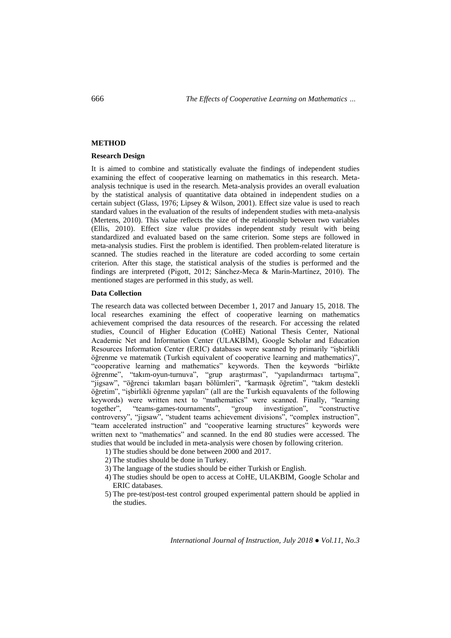### **METHOD**

### **Research Design**

It is aimed to combine and statistically evaluate the findings of independent studies examining the effect of cooperative learning on mathematics in this research. Metaanalysis technique is used in the research. Meta-analysis provides an overall evaluation by the statistical analysis of quantitative data obtained in independent studies on a certain subject (Glass, 1976; Lipsey & Wilson, 2001). Effect size value is used to reach standard values in the evaluation of the results of independent studies with meta-analysis (Mertens, 2010). This value reflects the size of the relationship between two variables (Ellis, 2010). Effect size value provides independent study result with being standardized and evaluated based on the same criterion. Some steps are followed in meta-analysis studies. First the problem is identified. Then problem-related literature is scanned. The studies reached in the literature are coded according to some certain criterion. After this stage, the statistical analysis of the studies is performed and the findings are interpreted (Pigott, 2012; Sánchez-Meca & Marín-Martínez, 2010). The mentioned stages are performed in this study, as well.

### **Data Collection**

The research data was collected between December 1, 2017 and January 15, 2018. The local researches examining the effect of cooperative learning on mathematics achievement comprised the data resources of the research. For accessing the related studies, Council of Higher Education (CoHE) National Thesis Center, National Academic Net and Information Center (ULAKBİM), Google Scholar and Education Resources Information Center (ERIC) databases were scanned by primarily "işbirlikli öğrenme ve matematik (Turkish equivalent of cooperative learning and mathematics)", "cooperative learning and mathematics" keywords. Then the keywords "birlikte öğrenme", "takım-oyun-turnuva", "grup araştırması", "yapılandırmacı tartışma", "jigsaw", "öğrenci takımları başarı bölümleri", "karmaşık öğretim", "takım destekli öğretim", "işbirlikli öğrenme yapıları" (all are the Turkish equavalents of the following keywords) were written next to "mathematics" were scanned. Finally, "learning together", "teams-games-tournaments", "group investigation", "constructive "teams-games-tournaments", "group investigation", "constructive" controversy", "jigsaw", "student teams achievement divisions", "complex instruction", "team accelerated instruction" and "cooperative learning structures" keywords were written next to "mathematics" and scanned. In the end 80 studies were accessed. The studies that would be included in meta-analysis were chosen by following criterion.

- 1) The studies should be done between 2000 and 2017.
- 2) The studies should be done in Turkey.
- 3) The language of the studies should be either Turkish or English.
- 4) The studies should be open to access at CoHE, ULAKBIM, Google Scholar and ERIC databases.
- 5) The pre-test/post-test control grouped experimental pattern should be applied in the studies.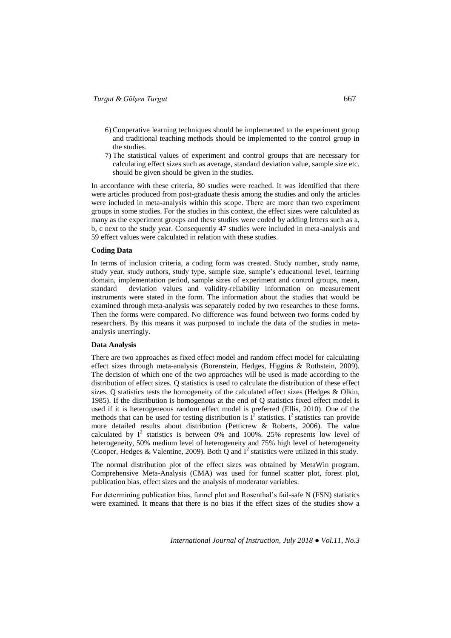- 6) Cooperative learning techniques should be implemented to the experiment group and traditional teaching methods should be implemented to the control group in the studies.
- 7) The statistical values of experiment and control groups that are necessary for calculating effect sizes such as average, standard deviation value, sample size etc. should be given should be given in the studies.

In accordance with these criteria, 80 studies were reached. It was identified that there were articles produced from post-graduate thesis among the studies and only the articles were included in meta-analysis within this scope. There are more than two experiment groups in some studies. For the studies in this context, the effect sizes were calculated as many as the experiment groups and these studies were coded by adding letters such as a, b, c next to the study year. Consequently 47 studies were included in meta-analysis and 59 effect values were calculated in relation with these studies.

#### **Coding Data**

In terms of inclusion criteria, a coding form was created. Study number, study name, study year, study authors, study type, sample size, sample's educational level, learning domain, implementation period, sample sizes of experiment and control groups, mean, standard deviation values and validity-reliability information on measurement instruments were stated in the form. The information about the studies that would be examined through meta-analysis was separately coded by two researches to these forms. Then the forms were compared. No difference was found between two forms coded by researchers. By this means it was purposed to include the data of the studies in metaanalysis unerringly.

## **Data Analysis**

There are two approaches as fixed effect model and random effect model for calculating effect sizes through meta-analysis (Borenstein, Hedges, Higgins & Rothstein, 2009). The decision of which one of the two approaches will be used is made according to the distribution of effect sizes. Q statistics is used to calculate the distribution of these effect sizes. Q statistics tests the homogeneity of the calculated effect sizes (Hedges  $\&$  Olkin, 1985). If the distribution is homogenous at the end of Q statistics fixed effect model is used if it is heterogeneous random effect model is preferred (Ellis, 2010). One of the methods that can be used for testing distribution is  $I^2$  statistics. I<sup>2</sup> statistics can provide more detailed results about distribution (Petticrew & Roberts, 2006). The value calculated by  $I^2$  statistics is between 0% and 100%. 25% represents low level of heterogeneity, 50% medium level of heterogeneity and 75% high level of heterogeneity (Cooper, Hedges & Valentine, 2009). Both Q and  $I^2$  statistics were utilized in this study.

The normal distribution plot of the effect sizes was obtained by MetaWin program. Comprehensive Meta-Analysis (CMA) was used for funnel scatter plot, forest plot, publication bias, effect sizes and the analysis of moderator variables.

For determining publication bias, funnel plot and Rosenthal's fail-safe N (FSN) statistics were examined. It means that there is no bias if the effect sizes of the studies show a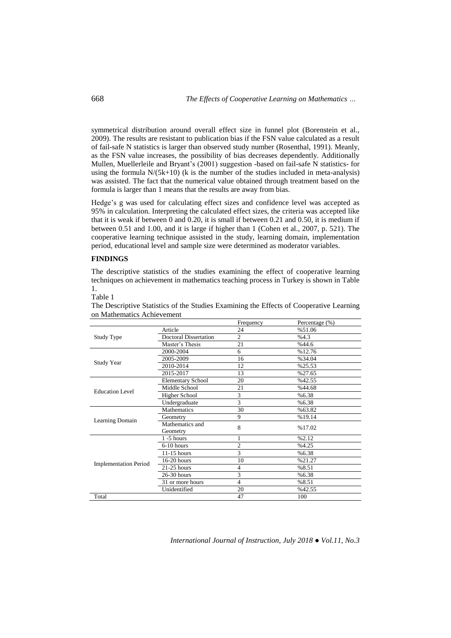symmetrical distribution around overall effect size in funnel plot (Borenstein et al., 2009). The results are resistant to publication bias if the FSN value calculated as a result of fail-safe N statistics is larger than observed study number (Rosenthal, 1991). Meanly, as the FSN value increases, the possibility of bias decreases dependently. Additionally Mullen, Muellerleile and Bryant's (2001) suggestion -based on fail-safe N statistics- for using the formula  $N/(5k+10)$  (k is the number of the studies included in meta-analysis) was assisted. The fact that the numerical value obtained through treatment based on the formula is larger than 1 means that the results are away from bias.

Hedge's g was used for calculating effect sizes and confidence level was accepted as 95% in calculation. Interpreting the calculated effect sizes, the criteria was accepted like that it is weak if between 0 and 0.20, it is small if between 0.21 and 0.50, it is medium if between 0.51 and 1.00, and it is large if higher than 1 (Cohen et al., 2007, p. 521). The cooperative learning technique assisted in the study, learning domain, implementation period, educational level and sample size were determined as moderator variables.

### **FINDINGS**

The descriptive statistics of the studies examining the effect of cooperative learning techniques on achievement in mathematics teaching process in Turkey is shown in Table 1.

#### Table 1

|                              |                              | Frequency      | Percentage (%) |
|------------------------------|------------------------------|----------------|----------------|
|                              | Article                      | 24             | %51.06         |
| Study Type                   | <b>Doctoral Dissertation</b> | $\overline{c}$ | %4.3           |
|                              | Master's Thesis              | 21             | %44.6          |
|                              | 2000-2004                    | 6              | %12.76         |
|                              | 2005-2009                    | 16             | %34.04         |
| <b>Study Year</b>            | 2010-2014                    | 12             | %25.53         |
|                              | 2015-2017                    | 13             | %27.65         |
|                              | <b>Elementary School</b>     | 20             | %42.55         |
| <b>Education Level</b>       | Middle School                | 21             | %44.68         |
|                              | <b>Higher School</b>         | 3              | %6.38          |
|                              | Undergraduate                | 3              | %6.38          |
|                              | Mathematics                  | 30             | %63.82         |
|                              | Geometry                     | 9              | %19.14         |
| Learning Domain              | Mathematics and<br>Geometry  | 8              | %17.02         |
|                              | $1 - 5$ hours                |                | %2.12          |
|                              | $6-10$ hours                 | $\overline{c}$ | %4.25          |
|                              | $11-15$ hours                | 3              | %6.38          |
|                              | $16-20$ hours                | 10             | %21.27         |
| <b>Implementation Period</b> | $21-25$ hours                | 4              | %8.51          |
|                              | $26-30$ hours                | 3              | %6.38          |
|                              | 31 or more hours             | 4              | %8.51          |
|                              | Unidentified                 | 20             | %42.55         |
| Total                        |                              | 47             | 100            |

The Descriptive Statistics of the Studies Examining the Effects of Cooperative Learning on Mathematics Achievement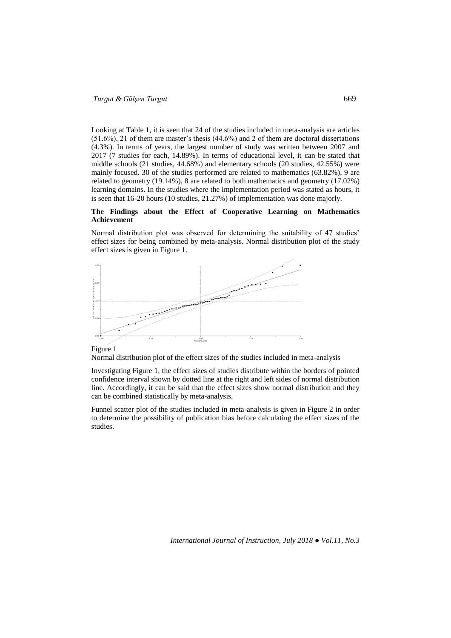Looking at Table 1, it is seen that 24 of the studies included in meta-analysis are articles  $(51.6\%)$ , 21 of them are master's thesis  $(44.6\%)$  and 2 of them are doctoral dissertations (4.3%). In terms of years, the largest number of study was written between 2007 and 2017 (7 studies for each, 14.89%). In terms of educational level, it can be stated that middle schools (21 studies, 44.68%) and elementary schools (20 studies, 42.55%) were mainly focused. 30 of the studies performed are related to mathematics (63.82%), 9 are related to geometry (19.14%), 8 are related to both mathematics and geometry (17.02%) learning domains. In the studies where the implementation period was stated as hours, it is seen that 16-20 hours (10 studies, 21.27%) of implementation was done majorly.

## **The Findings about the Effect of Cooperative Learning on Mathematics Achievement**

Normal distribution plot was observed for determining the suitability of 47 studies' effect sizes for being combined by meta-analysis. Normal distribution plot of the study effect sizes is given in Figure 1.



Figure 1

Normal distribution plot of the effect sizes of the studies included in meta-analysis

Investigating Figure 1, the effect sizes of studies distribute within the borders of pointed confidence interval shown by dotted line at the right and left sides of normal distribution line. Accordingly, it can be said that the effect sizes show normal distribution and they can be combined statistically by meta-analysis.

Funnel scatter plot of the studies included in meta-analysis is given in Figure 2 in order to determine the possibility of publication bias before calculating the effect sizes of the studies.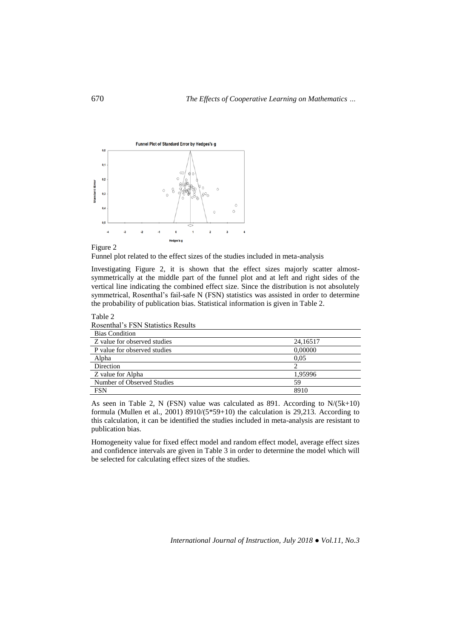



Table 2

Funnel plot related to the effect sizes of the studies included in meta-analysis

Investigating Figure 2, it is shown that the effect sizes majorly scatter almostsymmetrically at the middle part of the funnel plot and at left and right sides of the vertical line indicating the combined effect size. Since the distribution is not absolutely symmetrical, Rosenthal's fail-safe N (FSN) statistics was assisted in order to determine the probability of publication bias. Statistical information is given in Table 2.

| Rosenthal's FSN Statistics Results |          |
|------------------------------------|----------|
| <b>Bias Condition</b>              |          |
| Z value for observed studies       | 24,16517 |
| P value for observed studies       | 0.00000  |
| Alpha                              | 0.05     |
| Direction                          |          |
| Z value for Alpha                  | 1.95996  |
| Number of Observed Studies<br>59   |          |
| <b>FSN</b>                         | 8910     |

As seen in Table 2, N (FSN) value was calculated as 891. According to  $N/(5k+10)$ formula (Mullen et al., 2001) 8910/(5\*59+10) the calculation is 29,213. According to this calculation, it can be identified the studies included in meta-analysis are resistant to publication bias.

Homogeneity value for fixed effect model and random effect model, average effect sizes and confidence intervals are given in Table 3 in order to determine the model which will be selected for calculating effect sizes of the studies.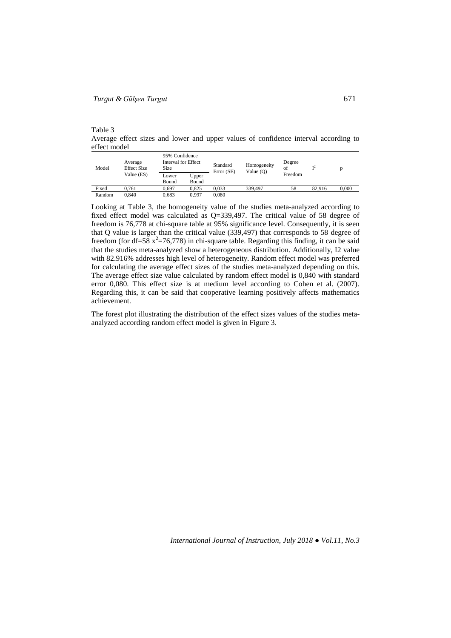Table 3

Average effect sizes and lower and upper values of confidence interval according to effect model

| Model  | Average<br><b>Effect Size</b><br>Value (ES) | Size  | 95% Confidence<br>Interval for Effect |            | Homogeneity<br>Value $(O)$ | Degree<br>of | $\mathbf{r}^2$ | D     |
|--------|---------------------------------------------|-------|---------------------------------------|------------|----------------------------|--------------|----------------|-------|
|        |                                             | Lower | Upper                                 | Error (SE) |                            | Freedom      |                |       |
|        |                                             | Bound | Bound                                 |            |                            |              |                |       |
| Fixed  | 0.761                                       | 0.697 | 0.825                                 | 0.033      | 339,497                    | 58           | 82.916         | 0.000 |
| Random | 0.840                                       | 0.683 | 0.997                                 | 0.080      |                            |              |                |       |

Looking at Table 3, the homogeneity value of the studies meta-analyzed according to fixed effect model was calculated as Q=339,497. The critical value of 58 degree of freedom is 76,778 at chi-square table at 95% significance level. Consequently, it is seen that Q value is larger than the critical value (339,497) that corresponds to 58 degree of freedom (for df=58  $x^2$ =76,778) in chi-square table. Regarding this finding, it can be said that the studies meta-analyzed show a heterogeneous distribution. Additionally, I2 value with 82.916% addresses high level of heterogeneity. Random effect model was preferred for calculating the average effect sizes of the studies meta-analyzed depending on this. The average effect size value calculated by random effect model is 0,840 with standard error 0,080. This effect size is at medium level according to Cohen et al. (2007). Regarding this, it can be said that cooperative learning positively affects mathematics achievement.

The forest plot illustrating the distribution of the effect sizes values of the studies metaanalyzed according random effect model is given in Figure 3.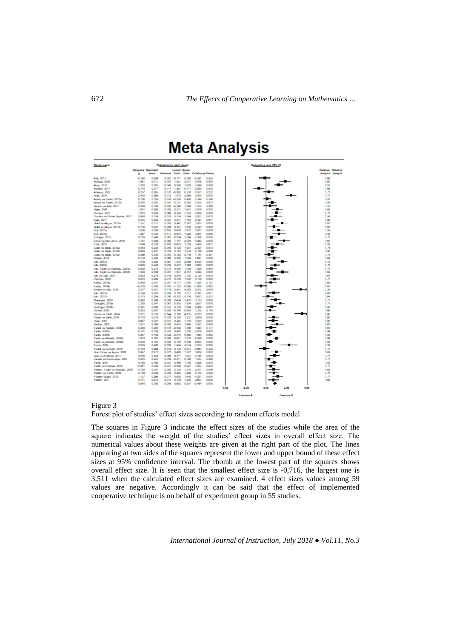

#### Figure 3

Forest plot of studies' effect sizes according to random effects model

The squares in Figure 3 indicate the effect sizes of the studies while the area of the square indicates the weight of the studies' effect sizes in overall effect size. The numerical values about these weights are given at the right part of the plot. The lines appearing at two sides of the squares represent the lower and upper bound of these effect sizes at 95% confidence interval. The rhomb at the lowest part of the squares shows overall effect size. It is seen that the smallest effect size is -0,716, the largest one is 3,511 when the calculated effect sizes are examined. 4 effect sizes values among 59 values are negative. Accordingly it can be said that the effect of implemented cooperative technique is on behalf of experiment group in 55 studies.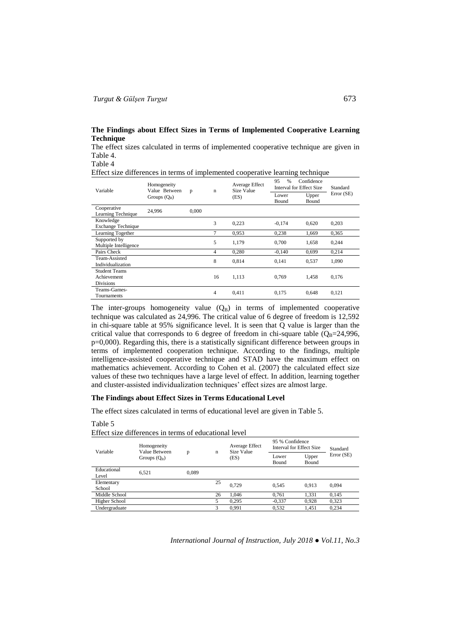## **The Findings about Effect Sizes in Terms of Implemented Cooperative Learning Technique**

The effect sizes calculated in terms of implemented cooperative technique are given in Table 4.

Table 4

Effect size differences in terms of implemented cooperative learning technique

| Variable                                                | Homogeneity<br>Value Between<br>Groups $(Q_B)$ | p     | $\mathbf n$ | Average Effect<br>Size Value<br>(ES) | Confidence<br>95<br>$\frac{0}{0}$<br>Interval for Effect Size |                | Standard   |
|---------------------------------------------------------|------------------------------------------------|-------|-------------|--------------------------------------|---------------------------------------------------------------|----------------|------------|
|                                                         |                                                |       |             |                                      | Lower<br>Bound                                                | Upper<br>Bound | Error (SE) |
| Cooperative<br>Learning Technique                       | 24,996                                         | 0.000 |             |                                      |                                                               |                |            |
| Knowledge<br><b>Exchange Technique</b>                  |                                                |       | 3           | 0,223                                | $-0,174$                                                      | 0,620          | 0,203      |
| Learning Together                                       |                                                |       | $\tau$      | 0.953                                | 0.238                                                         | 1,669          | 0.365      |
| Supported by<br>Multiple Intelligence                   |                                                |       | 5           | 1.179                                | 0.700                                                         | 1,658          | 0,244      |
| Pairs Check                                             |                                                |       | 4           | 0,280                                | $-0,140$                                                      | 0,699          | 0,214      |
| Team-Assisted<br>Individualization                      |                                                |       | 8           | 0.814                                | 0.141                                                         | 0,537          | 1,090      |
| <b>Student Teams</b><br>Achievement<br><b>Divisions</b> |                                                |       | 16          | 1,113                                | 0,769                                                         | 1,458          | 0,176      |
| Teams-Games-<br>Tournaments                             |                                                |       | 4           | 0,411                                | 0.175                                                         | 0,648          | 0,121      |

The inter-groups homogeneity value  $(Q_B)$  in terms of implemented cooperative technique was calculated as 24,996. The critical value of 6 degree of freedom is 12,592 in chi-square table at 95% significance level. It is seen that Q value is larger than the critical value that corresponds to 6 degree of freedom in chi-square table ( $Q_B$ =24,996, p=0,000). Regarding this, there is a statistically significant difference between groups in terms of implemented cooperation technique. According to the findings, multiple intelligence-assisted cooperative technique and STAD have the maximum effect on mathematics achievement. According to Cohen et al. (2007) the calculated effect size values of these two techniques have a large level of effect. In addition, learning together and cluster-assisted individualization techniques' effect sizes are almost large.

### **The Findings about Effect Sizes in Terms Educational Level**

The effect sizes calculated in terms of educational level are given in Table 5.

Table 5

| Variable             | Homogeneity<br>Value Between<br>Groups $(Q_B)$ | р     | n  | Average Effect<br>Size Value<br>(ES) | 95 % Confidence<br>Interval for Effect Size |                | Standard  |
|----------------------|------------------------------------------------|-------|----|--------------------------------------|---------------------------------------------|----------------|-----------|
|                      |                                                |       |    |                                      | Lower<br>Bound                              | Upper<br>Bound | Error(SE) |
| Educational<br>Level | 6.521                                          | 0.089 |    |                                      |                                             |                |           |
| Elementary<br>School |                                                |       | 25 | 0.729                                | 0.545                                       | 0.913          | 0.094     |
| Middle School        |                                                |       | 26 | 1.046                                | 0.761                                       | 1.331          | 0.145     |
| <b>Higher School</b> |                                                |       |    | 0.295                                | $-0.337$                                    | 0,928          | 0,323     |
| Undergraduate        |                                                |       |    | 0,991                                | 0,532                                       | 1,451          | 0,234     |

Effect size differences in terms of educational level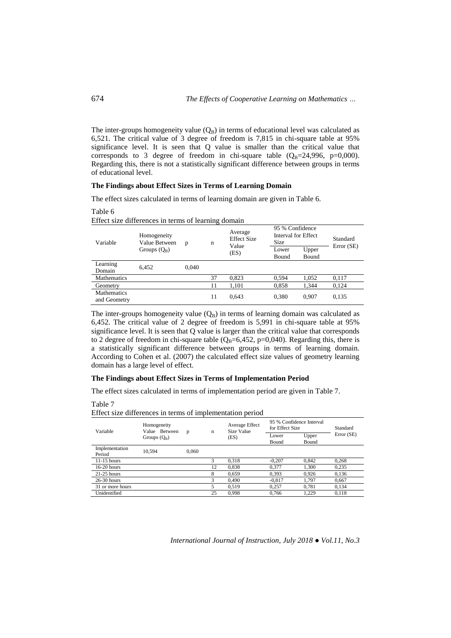The inter-groups homogeneity value  $(Q_B)$  in terms of educational level was calculated as 6,521. The critical value of 3 degree of freedom is 7,815 in chi-square table at 95% significance level. It is seen that Q value is smaller than the critical value that corresponds to 3 degree of freedom in chi-square table  $(Q_B=24,996, p=0,000)$ . Regarding this, there is not a statistically significant difference between groups in terms of educational level.

## **The Findings about Effect Sizes in Terms of Learning Domain**

The effect sizes calculated in terms of learning domain are given in Table 6.

Effect size differences in terms of learning domain Variable Homogeneity Value Between Groups  $(Q_B)$ p n Average Effect Size Value (ES) 95 % Confidence Interval for Effect Size Standard<br>Size Standard Error (SE)<br>Lower Upper Error (SE) Bound Upper Bound Learning Domain 6,452 0,040 Mathematics 37 0,823 0,594 1,052 0,117<br>Geometry 11 1,101 0,858 1,344 0,124 Geometry 11 1,101 0,858 1,344 0,124 Mathematics 11 0,643 0,380 0,907 0,135<br>and Geometry

The inter-groups homogeneity value  $(Q_B)$  in terms of learning domain was calculated as 6,452. The critical value of 2 degree of freedom is 5,991 in chi-square table at 95% significance level. It is seen that Q value is larger than the critical value that corresponds to 2 degree of freedom in chi-square table  $(Q_B=6,452, p=0,040)$ . Regarding this, there is a statistically significant difference between groups in terms of learning domain. According to Cohen et al. (2007) the calculated effect size values of geometry learning domain has a large level of effect.

### **The Findings about Effect Sizes in Terms of Implementation Period**

The effect sizes calculated in terms of implementation period are given in Table 7.

Table 7

#### Effect size differences in terms of implementation period

| Variable                 | Homogeneity<br>Value Between<br>Groups $(Q_B)$ | p     | $\mathbf n$ | Average Effect<br>Size Value<br>(ES) | 95 % Confidence Interval<br>for Effect Size |                       | Standard   |
|--------------------------|------------------------------------------------|-------|-------------|--------------------------------------|---------------------------------------------|-----------------------|------------|
|                          |                                                |       |             |                                      | Lower<br><b>Bound</b>                       | Upper<br><b>Bound</b> | Error (SE) |
| Implementation<br>Period | 10.594                                         | 0.060 |             |                                      |                                             |                       |            |
| $11-15$ hours            |                                                |       | 3           | 0.318                                | $-0.207$                                    | 0.842                 | 0.268      |
| $16-20$ hours            |                                                |       | 12          | 0.838                                | 0.377                                       | 1.300                 | 0.235      |
| $21-25$ hours            |                                                |       | 8           | 0,659                                | 0,393                                       | 0.926                 | 0,136      |
| $26-30$ hours            |                                                |       | 3           | 0,490                                | $-0.817$                                    | 1.797                 | 0,667      |
| 31 or more hours         |                                                |       |             | 0.519                                | 0.257                                       | 0.781                 | 0,134      |
| Unidentified             |                                                |       | 25          | 0.998                                | 0.766                                       | 1.229                 | 0.118      |

*International Journal of Instruction, July 2018 ● Vol.11, No.3*

Table 6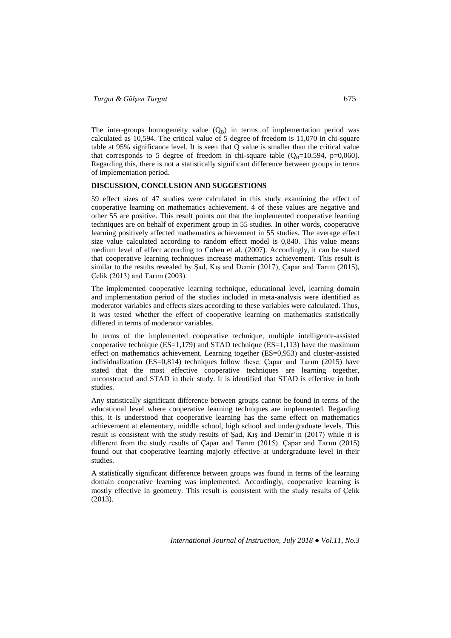The inter-groups homogeneity value  $(Q_B)$  in terms of implementation period was calculated as 10,594. The critical value of 5 degree of freedom is 11,070 in chi-square table at 95% significance level. It is seen that Q value is smaller than the critical value that corresponds to 5 degree of freedom in chi-square table  $(Q_B=10,594, p=0,060)$ . Regarding this, there is not a statistically significant difference between groups in terms of implementation period.

## **DISCUSSION, CONCLUSION AND SUGGESTIONS**

59 effect sizes of 47 studies were calculated in this study examining the effect of cooperative learning on mathematics achievement. 4 of these values are negative and other 55 are positive. This result points out that the implemented cooperative learning techniques are on behalf of experiment group in 55 studies. In other words, cooperative learning positively affected mathematics achievement in 55 studies. The average effect size value calculated according to random effect model is 0,840. This value means medium level of effect according to Cohen et al. (2007). Accordingly, it can be stated that cooperative learning techniques increase mathematics achievement. This result is similar to the results revealed by Şad, Kış and Demir (2017), Çapar and Tarım (2015), Çelik (2013) and Tarım (2003).

The implemented cooperative learning technique, educational level, learning domain and implementation period of the studies included in meta-analysis were identified as moderator variables and effects sizes according to these variables were calculated. Thus, it was tested whether the effect of cooperative learning on mathematics statistically differed in terms of moderator variables.

In terms of the implemented cooperative technique, multiple intelligence-assisted cooperative technique ( $ES=1,179$ ) and STAD technique ( $ES=1,113$ ) have the maximum effect on mathematics achievement. Learning together (ES=0,953) and cluster-assisted individualization  $(ES=0.814)$  techniques follow these. Capar and Tarim (2015) have stated that the most effective cooperative techniques are learning together, unconstructed and STAD in their study. It is identified that STAD is effective in both studies.

Any statistically significant difference between groups cannot be found in terms of the educational level where cooperative learning techniques are implemented. Regarding this, it is understood that cooperative learning has the same effect on mathematics achievement at elementary, middle school, high school and undergraduate levels. This result is consistent with the study results of Şad, Kış and Demir'in (2017) while it is different from the study results of Çapar and Tarım (2015). Çapar and Tarım (2015) found out that cooperative learning majorly effective at undergraduate level in their studies.

A statistically significant difference between groups was found in terms of the learning domain cooperative learning was implemented. Accordingly, cooperative learning is mostly effective in geometry. This result is consistent with the study results of Çelik (2013).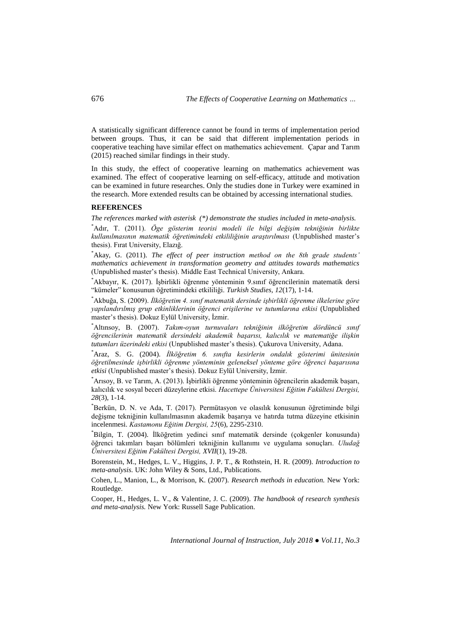A statistically significant difference cannot be found in terms of implementation period between groups. Thus, it can be said that different implementation periods in cooperative teaching have similar effect on mathematics achievement. Çapar and Tarım (2015) reached similar findings in their study.

In this study, the effect of cooperative learning on mathematics achievement was examined. The effect of cooperative learning on self-efficacy, attitude and motivation can be examined in future researches. Only the studies done in Turkey were examined in the research. More extended results can be obtained by accessing international studies.

### **REFERENCES**

*The references marked with asterisk (\*) demonstrate the studies included in meta-analysis.* 

\*Adır, T. (2011). *Öge gösterim teorisi modeli ile bilgi değişim tekniğinin birlikte kullanılmasının matematik öğretimindeki etkililiğinin araştırılması* (Unpublished master's thesis). Fırat University, Elazığ.

\*Akay, G. (2011). *The effect of peer instruction method on the 8th grade students' mathematics achievement in transformation geometry and attitudes towards mathematics* (Unpublished master's thesis). Middle East Technical University, Ankara.

\*Akbayır, K. (2017). İşbirlikli öğrenme yönteminin 9.sınıf öğrencilerinin matematik dersi "kümeler" konusunun öğretimindeki etkililiği. *Turkish Studies, 12*(17), 1-14.

\*Akbuğa, S. (2009). *İlköğretim 4. sınıf matematik dersinde işbirlikli öğrenme ilkelerine göre yapılandırılmış grup etkinliklerinin öğrenci erişilerine ve tutumlarına etkisi* (Unpublished master's thesis). Dokuz Eylül University, İzmir.

\*Altınsoy, B. (2007). *Takım-oyun turnuvaları tekniğinin ilköğretim dördüncü sınıf öğrencilerinin matematik dersindeki akademik başarısı, kalıcılık ve matematiğe ilişkin tutumları üzerindeki etkisi* (Unpublished master's thesis). Çukurova University, Adana.

\*Araz, S. G. (2004). *İlköğretim 6. sınıfta kesirlerin ondalık gösterimi ünitesinin öğretilmesinde işbirlikli öğrenme yönteminin geleneksel yönteme göre öğrenci başarısına etkisi* (Unpublished master's thesis). Dokuz Eylül University, İzmir.

\*Arısoy, B. ve Tarım, A. (2013). İşbirlikli öğrenme yönteminin öğrencilerin akademik başarı, kalıcılık ve sosyal beceri düzeylerine etkisi. *Hacettepe Üniversitesi Eğitim Fakültesi Dergisi, 28*(3), 1-14.

\*Berkün, D. N. ve Ada, T. (2017). Permütasyon ve olasılık konusunun öğretiminde bilgi değişme tekniğinin kullanılmasının akademik başarıya ve hatırda tutma düzeyine etkisinin incelenmesi. *Kastamonu Eğitim Dergisi, 25*(6), 2295-2310.

\*Bilgin, T. (2004). İlköğretim yedinci sınıf matematik dersinde (çokgenler konusunda) öğrenci takımları başarı bölümleri tekniğinin kullanımı ve uygulama sonuçları. *Uludağ Üniversitesi Eğitim Fakültesi Dergisi, XVII*(1), 19-28.

Borenstein, M., Hedges, L. V., Higgins, J. P. T., & Rothstein, H. R. (2009). *Introduction to meta-analysis.* UK: John Wiley & Sons, Ltd., Publications.

Cohen, L., Manion, L., & Morrison, K. (2007). *Research methods in education.* New York: Routledge.

Cooper, H., Hedges, L. V., & Valentine, J. C. (2009). *The handbook of research synthesis and meta-analysis.* New York: Russell Sage Publication.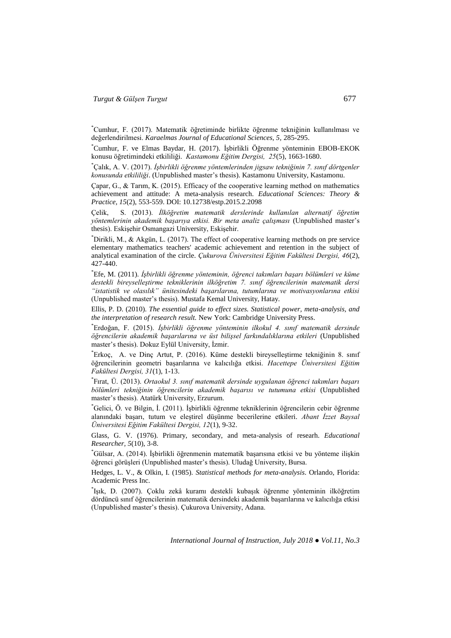\*Cumhur, F. (2017). Matematik öğretiminde birlikte öğrenme tekniğinin kullanılması ve değerlendirilmesi. *Karaelmas Journal of Educational Sciences, 5,* 285-295.

\*Cumhur, F. ve Elmas Baydar, H. (2017). İşbirlikli Öğrenme yönteminin EBOB-EKOK konusu öğretimindeki etkililiği. *Kastamonu Eğitim Dergisi, 25*(5), 1663-1680.

\*Çalık, A. V. (2017). *İşbirlikli öğrenme yöntemlerinden jigsaw tekniğinin 7. sınıf dörtgenler konusunda etkililiği*. (Unpublished master's thesis). Kastamonu University, Kastamonu.

Çapar, G., & Tarım, K. (2015). Efficacy of the cooperative learning method on mathematics achievement and attitude: A meta-analysis research. *Educational Sciences: Theory & Practice, 15*(2), 553-559. DOI: 10.12738/estp.2015.2.2098

Çelik, S. (2013). *İlköğretim matematik derslerinde kullanılan alternatif öğretim yöntemlerinin akademik başarıya etkisi. Bir meta analiz çalışması* (Unpublished master's thesis). Eskişehir Osmangazi University, Eskişehir.

\*Dirikli, M., & Akgün, L. (2017). The effect of cooperative learning methods on pre service elementary mathematics teachers' academic achievement and retention in the subject of analytical examination of the circle. *Çukurova Üniversitesi Eğitim Fakültesi Dergisi, 46*(2), 427-440.

\* Efe, M. (2011). *İşbirlikli öğrenme yönteminin, öğrenci takımları başarı bölümleri ve küme destekli bireyselleştirme tekniklerinin ilköğretim 7. sınıf öğrencilerinin matematik dersi "istatistik ve olasılık" ünitesindeki başarılarına, tutumlarına ve motivasyonlarına etkisi* (Unpublished master's thesis). Mustafa Kemal University, Hatay.

Ellis, P. D. (2010). *The essential guide to effect sizes. Statistical power, meta-analysis, and the interpretation of research result.* New York: Cambridge University Press.

\* Erdoğan, F. (2015). *İşbirlikli öğrenme yönteminin ilkokul 4. sınıf matematik dersinde öğrencilerin akademik başarılarına ve üst bilişsel farkındalıklarına etkileri* (Unpublished master's thesis). Dokuz Eylül University, İzmir.

\* Erkoç, A. ve Dinç Artut, P. (2016). Küme destekli bireyselleştirme tekniğinin 8. sınıf öğrencilerinin geometri başarılarına ve kalıcılığa etkisi. *Hacettepe Üniversitesi Eğitim Fakültesi Dergisi, 31*(1), 1-13.

\* Fırat, Ü. (2013). *Ortaokul 3. sınıf matematik dersinde uygulanan öğrenci takımları başarı bölümleri tekniğinin öğrencilerin akademik başarısı ve tutumuna etkisi* (Unpublished master's thesis). Atatürk University, Erzurum.

\*Gelici, Ö. ve Bilgin, İ. (2011). İşbirlikli öğrenme tekniklerinin öğrencilerin cebir öğrenme alanındaki başarı, tutum ve eleştirel düşünme becerilerine etkileri. *Abant İzzet Baysal Üniversitesi Eğitim Fakültesi Dergisi, 12*(1), 9-32.

Glass, G. V. (1976). Primary, secondary, and meta-analysis of researh. *Educational Researcher, 5*(10), 3-8.

\*Gülsar, A. (2014). İşbirlikli öğrenmenin matematik başarısına etkisi ve bu yönteme ilişkin öğrenci görüşleri (Unpublished master's thesis). Uludağ University, Bursa.

Hedges, L. V., & Olkin, I. (1985). *Statistical methods for meta-analysis*. Orlando, Florida: Academic Press Inc.

\* Işık, D. (2007). Çoklu zekâ kuramı destekli kubaşık öğrenme yönteminin ilköğretim dördüncü sınıf öğrencilerinin matematik dersindeki akademik başarılarına ve kalıcılığa etkisi (Unpublished master's thesis). Çukurova University, Adana.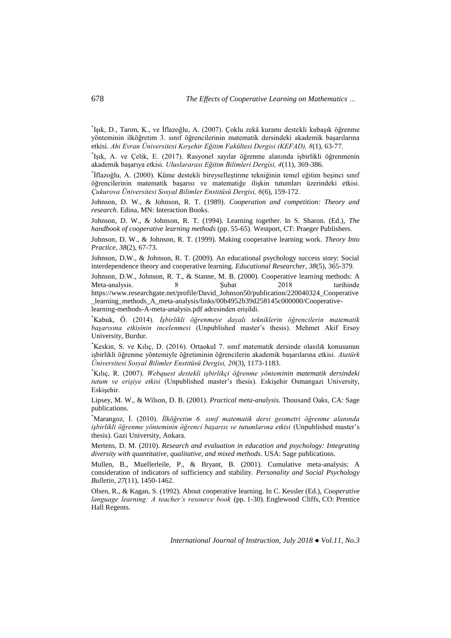\* Işık, D., Tarım, K., ve İflazoğlu, A. (2007). Çoklu zekâ kuramı destekli kubaşık öğrenme yönteminin ilköğretim 3. sınıf öğrencilerinin matematik dersindeki akademik başarılarına etkisi. *Ahi Evran Üniversitesi Kırşehir Eğitim Fakültesi Dergisi (KEFAD), 8*(1), 63-77.

\* Işık, A. ve Çelik, E. (2017). Rasyonel sayılar öğrenme alanında işbirlikli öğrenmenin akademik başarıya etkisi. *Uluslararası Eğitim Bilimleri Dergisi, 4*(11), 369-386.

\* İflazoğlu, A. (2000). Küme destekli bireyselleştirme tekniğinin temel eğitim beşinci sınıf öğrencilerinin matematik başarısı ve matematiğe ilişkin tutumları üzerindeki etkisi. *Çukurova Üniversitesi Sosyal Bilimler Enstitüsü Dergisi, 6*(6), 159-172.

Johnson, D. W., & Johnson, R. T. (1989). *Cooperation and competition: Theory and research*. Edina, MN: Interaction Books.

Johnson, D. W., & Johnson, R. T. (1994). Learning together. In S. Sharon. (Ed.), *The handbook of cooperative learning methods* (pp. 55-65). Westport, CT: Praeger Publishers.

Johnson, D. W., & Johnson, R. T. (1999). Making cooperative learning work. *Theory Into Practice, 38*(2), 67-73.

Johnson, D.W., & Johnson, R. T. (2009). An educational psychology success story: Social interdependence theory and cooperative learning. *Educational Researcher, 38*(5), 365-379.

Johnson, D.W., Johnson, R. T., & Stanne, M. B. (2000). Cooperative learning methods: A Meta-analysis. 8 8 Subat 2018 tarihinde https://www.researchgate.net/profile/David\_Johnson50/publication/220040324\_Cooperative \_learning\_methods\_A\_meta-analysis/links/00b4952b39d258145c000000/Cooperativelearning-methods-A-meta-analysis.pdf adresinden erişildi.

\*Kabuk, Ö. (2014). *İşbirlikli öğrenmeye dayalı tekniklerin öğrencilerin matematik başarısına etkisinin incelenmesi* (Unpublished master's thesis). Mehmet Akif Ersoy University, Burdur.

\*Keskin, S. ve Kılıç, D. (2016). Ortaokul 7. sınıf matematik dersinde olasılık konusunun işbirlikli öğrenme yöntemiyle öğretiminin öğrencilerin akademik başarılarına etkisi. *Atatürk Üniversitesi Sosyal Bilimler Enstitüsü Dergisi, 20*(3), 1173-1183.

\*Kılıç, R. (2007). *Webquest destekli işbirlikçi öğrenme yönteminin matematik dersindeki tutum ve erişiye etkisi* (Unpublished master's thesis). Eskişehir Osmangazi University, Eskişehir.

Lipsey, M. W., & Wilson, D. B. (2001). *Practical meta-analysis.* Thousand Oaks, CA: Sage publications.

\*Marangoz, İ. (2010). *İlköğretim 6. sınıf matematik dersi geometri öğrenme alanında işbirlikli öğrenme yönteminin öğrenci başarısı ve tutumlarına etkisi* (Unpublished master's thesis). Gazi University, Ankara.

Mertens, D. M. (2010). *Research and evaluation in education and psychology: Integrating diversity with quantitative, qualitative, and mixed methods*. USA: Sage publications.

Mullen, B., Muellerleile, P., & Bryant, B. (2001). Cumulative meta-analysis: A consideration of indicators of sufficiency and stability. *Personality and Social Psychology Bulletin, 27*(11), 1450-1462.

Olsen, R., & Kagan, S. (1992). About cooperative learning. In C. Kessler (Ed.), *Cooperative language learning: A teacher's resource book* (pp. 1-30). Englewood Cliffs, CO: Prentice Hall Regents.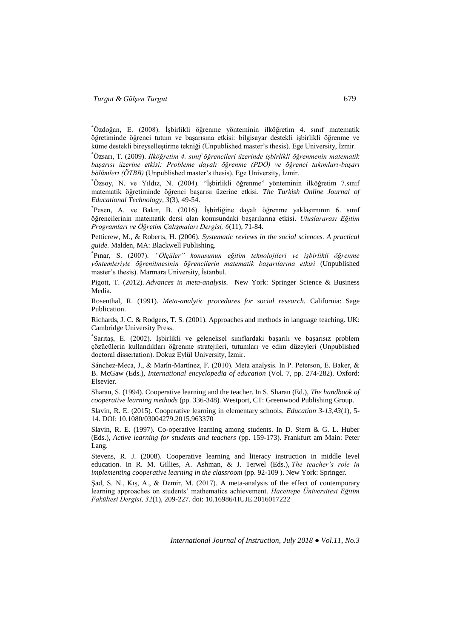\*Özdoğan, E. (2008). İşbirlikli öğrenme yönteminin ilköğretim 4. sınıf matematik öğretiminde öğrenci tutum ve başarısına etkisi: bilgisayar destekli işbirlikli öğrenme ve küme destekli bireyselleştirme tekniği (Unpublished master's thesis). Ege University, İzmir.

\*Özsarı, T. (2009). *İlköğretim 4. sınıf öğrencileri üzerinde işbirlikli öğrenmenin matematik başarısı üzerine etkisi: Probleme dayalı öğrenme (PDÖ) ve öğrenci takımları-başarı bölümleri (ÖTBB)* (Unpublished master's thesis). Ege University, İzmir.

\*Özsoy, N. ve Yıldız, N. (2004). "İşbirlikli öğrenme" yönteminin ilköğretim 7.sınıf matematik öğretiminde öğrenci başarısı üzerine etkisi. *The Turkish Online Journal of Educational Technology, 3*(3), 49-54.

\* Pesen, A. ve Bakır, B. (2016). İşbirliğine dayalı öğrenme yaklaşımının 6. sınıf öğrencilerinin matematik dersi alan konusundaki başarılarına etkisi. *Uluslararası Eğitim Programları ve Öğretim Çalışmaları Dergisi, 6*(11), 71-84.

Petticrew, M., & Roberts, H. (2006). *Systematic reviews in the social sciences. A practical guide.* Malden, MA: Blackwell Publishing.

\* Pınar, S. (2007). *"Ölçüler" konusunun eğitim teknolojileri ve işbirlikli öğrenme yöntemleriyle öğrenilmesinin öğrencilerin matematik başarılarına etkisi* (Unpublished master's thesis). Marmara University, İstanbul.

Pigott, T. (2012). *Advances in meta-analysis*. New York: Springer Science & Business Media.

Rosenthal, R. (1991). *Meta-analytic procedures for social research.* California: Sage Publication.

Richards, J. C. & Rodgers, T. S. (2001). Approaches and methods in language teaching. UK: Cambridge University Press.

\* Sarıtaş, E. (2002). İşbirlikli ve geleneksel sınıflardaki başarılı ve başarısız problem çözücülerin kullandıkları öğrenme stratejileri, tutumları ve edim düzeyleri (Unpublished doctoral dissertation). Dokuz Eylül University, İzmir.

Sánchez-Meca, J., & Marín-Martínez, F. (2010). Meta analysis. In P. Peterson, E. Baker, & B. McGaw (Eds.), *International encyclopedia of education* (Vol. 7, pp. 274-282). Oxford: Elsevier.

Sharan, S. (1994). Cooperative learning and the teacher. In S. Sharan (Ed.), *The handbook of cooperative learning methods* (pp. 336-348). Westport, CT: Greenwood Publishing Group.

Slavin, R. E. (2015). Cooperative learning in elementary schools. *Education 3-13,43*(1), 5- 14. DOI: 10.1080/03004279.2015.963370

Slavin, R. E. (1997). Co-operative learning among students. In D. Stern & G. L. Huber (Eds.), *Active learning for students and teachers* (pp. 159-173). Frankfurt am Main: Peter Lang.

Stevens, R. J. (2008). Cooperative learning and literacy instruction in middle level education. In R. M. Gillies, A. Ashman, & J. Terwel (Eds.), *The teacher's role in implementing cooperative learning in the classroom* (pp. 92-109 ). New York: Springer.

Şad, S. N., Kış, A., & Demir, M. (2017). A meta-analysis of the effect of contemporary learning approaches on students' mathematics achievement. *Hacettepe Üniversitesi Eğitim Fakültesi Dergisi, 32*(1), 209-227. doi: 10.16986/HUJE.2016017222